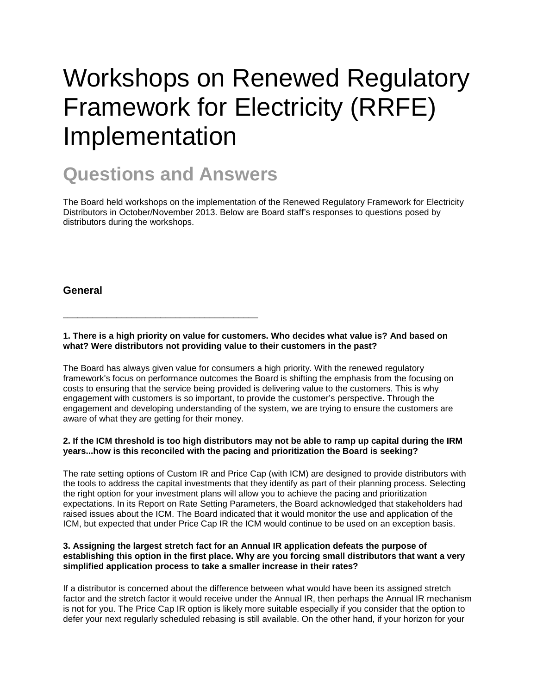# Workshops on Renewed Regulatory Framework for Electricity (RRFE) Implementation

# **Questions and Answers**

\_\_\_\_\_\_\_\_\_\_\_\_\_\_\_\_\_\_\_\_\_\_\_\_\_\_\_\_\_\_\_\_\_\_\_\_\_\_\_\_

The Board held workshops on the implementation of the Renewed Regulatory Framework for Electricity Distributors in October/November 2013. Below are Board staff's responses to questions posed by distributors during the workshops.

### **General**

**1. There is a high priority on value for customers. Who decides what value is? And based on what? Were distributors not providing value to their customers in the past?**

The Board has always given value for consumers a high priority. With the renewed regulatory framework's focus on performance outcomes the Board is shifting the emphasis from the focusing on costs to ensuring that the service being provided is delivering value to the customers. This is why engagement with customers is so important, to provide the customer's perspective. Through the engagement and developing understanding of the system, we are trying to ensure the customers are aware of what they are getting for their money.

#### **2. If the ICM threshold is too high distributors may not be able to ramp up capital during the IRM years...how is this reconciled with the pacing and prioritization the Board is seeking?**

The rate setting options of Custom IR and Price Cap (with ICM) are designed to provide distributors with the tools to address the capital investments that they identify as part of their planning process. Selecting the right option for your investment plans will allow you to achieve the pacing and prioritization expectations. In its Report on Rate Setting Parameters, the Board acknowledged that stakeholders had raised issues about the ICM. The Board indicated that it would monitor the use and application of the ICM, but expected that under Price Cap IR the ICM would continue to be used on an exception basis.

#### **3. Assigning the largest stretch fact for an Annual IR application defeats the purpose of establishing this option in the first place. Why are you forcing small distributors that want a very simplified application process to take a smaller increase in their rates?**

If a distributor is concerned about the difference between what would have been its assigned stretch factor and the stretch factor it would receive under the Annual IR, then perhaps the Annual IR mechanism is not for you. The Price Cap IR option is likely more suitable especially if you consider that the option to defer your next regularly scheduled rebasing is still available. On the other hand, if your horizon for your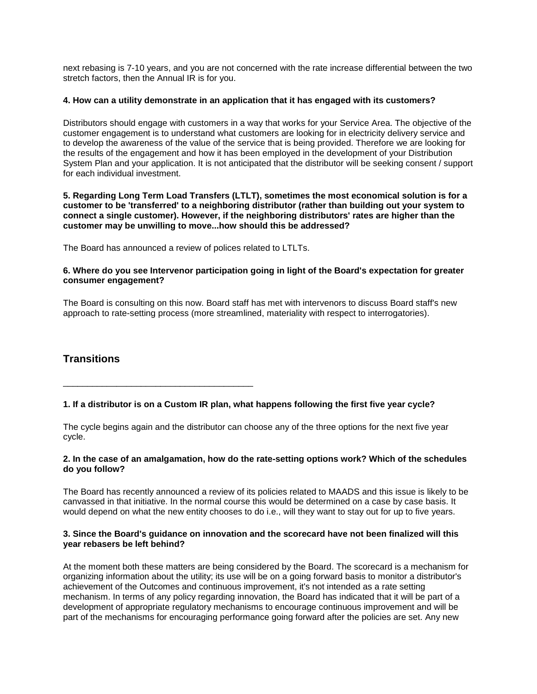next rebasing is 7-10 years, and you are not concerned with the rate increase differential between the two stretch factors, then the Annual IR is for you.

#### **4. How can a utility demonstrate in an application that it has engaged with its customers?**

Distributors should engage with customers in a way that works for your Service Area. The objective of the customer engagement is to understand what customers are looking for in electricity delivery service and to develop the awareness of the value of the service that is being provided. Therefore we are looking for the results of the engagement and how it has been employed in the development of your Distribution System Plan and your application. It is not anticipated that the distributor will be seeking consent / support for each individual investment.

#### **5. Regarding Long Term Load Transfers (LTLT), sometimes the most economical solution is for a customer to be 'transferred' to a neighboring distributor (rather than building out your system to connect a single customer). However, if the neighboring distributors' rates are higher than the customer may be unwilling to move...how should this be addressed?**

The Board has announced a review of polices related to LTLTs.

\_\_\_\_\_\_\_\_\_\_\_\_\_\_\_\_\_\_\_\_\_\_\_\_\_\_\_\_\_\_\_\_\_\_\_\_\_\_\_

#### **6. Where do you see Intervenor participation going in light of the Board's expectation for greater consumer engagement?**

The Board is consulting on this now. Board staff has met with intervenors to discuss Board staff's new approach to rate-setting process (more streamlined, materiality with respect to interrogatories).

# **Transitions**

#### **1. If a distributor is on a Custom IR plan, what happens following the first five year cycle?**

The cycle begins again and the distributor can choose any of the three options for the next five year cycle.

#### **2. In the case of an amalgamation, how do the rate-setting options work? Which of the schedules do you follow?**

The Board has recently announced a review of its policies related to MAADS and this issue is likely to be canvassed in that initiative. In the normal course this would be determined on a case by case basis. It would depend on what the new entity chooses to do i.e., will they want to stay out for up to five years.

#### **3. Since the Board's guidance on innovation and the scorecard have not been finalized will this year rebasers be left behind?**

At the moment both these matters are being considered by the Board. The scorecard is a mechanism for organizing information about the utility; its use will be on a going forward basis to monitor a distributor's achievement of the Outcomes and continuous improvement, it's not intended as a rate setting mechanism. In terms of any policy regarding innovation, the Board has indicated that it will be part of a development of appropriate regulatory mechanisms to encourage continuous improvement and will be part of the mechanisms for encouraging performance going forward after the policies are set. Any new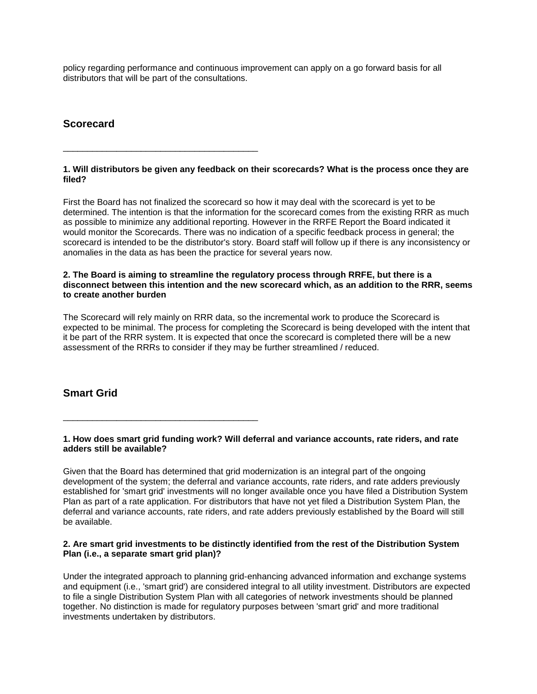policy regarding performance and continuous improvement can apply on a go forward basis for all distributors that will be part of the consultations.

# **Scorecard**

\_\_\_\_\_\_\_\_\_\_\_\_\_\_\_\_\_\_\_\_\_\_\_\_\_\_\_\_\_\_\_\_\_\_\_\_\_\_\_\_

\_\_\_\_\_\_\_\_\_\_\_\_\_\_\_\_\_\_\_\_\_\_\_\_\_\_\_\_\_\_\_\_\_\_\_\_\_\_\_\_

#### **1. Will distributors be given any feedback on their scorecards? What is the process once they are filed?**

First the Board has not finalized the scorecard so how it may deal with the scorecard is yet to be determined. The intention is that the information for the scorecard comes from the existing RRR as much as possible to minimize any additional reporting. However in the RRFE Report the Board indicated it would monitor the Scorecards. There was no indication of a specific feedback process in general; the scorecard is intended to be the distributor's story. Board staff will follow up if there is any inconsistency or anomalies in the data as has been the practice for several years now.

#### **2. The Board is aiming to streamline the regulatory process through RRFE, but there is a disconnect between this intention and the new scorecard which, as an addition to the RRR, seems to create another burden**

The Scorecard will rely mainly on RRR data, so the incremental work to produce the Scorecard is expected to be minimal. The process for completing the Scorecard is being developed with the intent that it be part of the RRR system. It is expected that once the scorecard is completed there will be a new assessment of the RRRs to consider if they may be further streamlined / reduced.

# **Smart Grid**

#### **1. How does smart grid funding work? Will deferral and variance accounts, rate riders, and rate adders still be available?**

Given that the Board has determined that grid modernization is an integral part of the ongoing development of the system; the deferral and variance accounts, rate riders, and rate adders previously established for 'smart grid' investments will no longer available once you have filed a Distribution System Plan as part of a rate application. For distributors that have not yet filed a Distribution System Plan, the deferral and variance accounts, rate riders, and rate adders previously established by the Board will still be available.

#### **2. Are smart grid investments to be distinctly identified from the rest of the Distribution System Plan (i.e., a separate smart grid plan)?**

Under the integrated approach to planning grid-enhancing advanced information and exchange systems and equipment (i.e., 'smart grid') are considered integral to all utility investment. Distributors are expected to file a single Distribution System Plan with all categories of network investments should be planned together. No distinction is made for regulatory purposes between 'smart grid' and more traditional investments undertaken by distributors.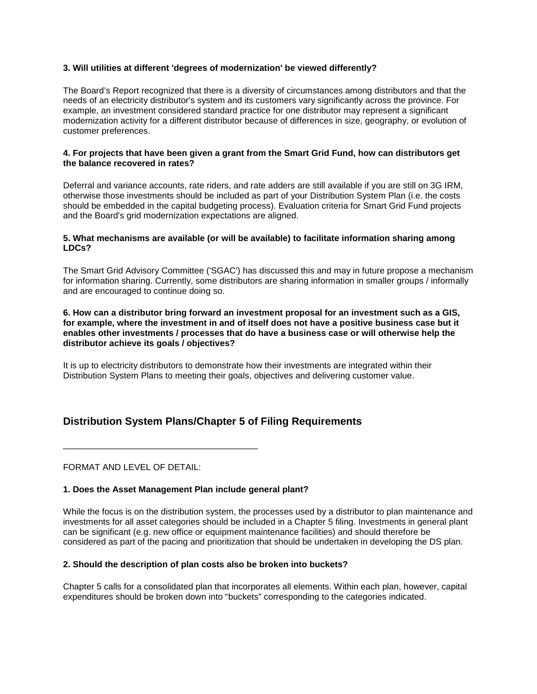#### **3. Will utilities at different 'degrees of modernization' be viewed differently?**

The Board's Report recognized that there is a diversity of circumstances among distributors and that the needs of an electricity distributor's system and its customers vary significantly across the province. For example, an investment considered standard practice for one distributor may represent a significant modernization activity for a different distributor because of differences in size, geography, or evolution of customer preferences.

#### **4. For projects that have been given a grant from the Smart Grid Fund, how can distributors get the balance recovered in rates?**

Deferral and variance accounts, rate riders, and rate adders are still available if you are still on 3G IRM, otherwise those investments should be included as part of your Distribution System Plan (i.e. the costs should be embedded in the capital budgeting process). Evaluation criteria for Smart Grid Fund projects and the Board's grid modernization expectations are aligned.

#### **5. What mechanisms are available (or will be available) to facilitate information sharing among LDCs?**

The Smart Grid Advisory Committee ('SGAC') has discussed this and may in future propose a mechanism for information sharing. Currently, some distributors are sharing information in smaller groups / informally and are encouraged to continue doing so.

#### **6. How can a distributor bring forward an investment proposal for an investment such as a GIS, for example, where the investment in and of itself does not have a positive business case but it enables other investments / processes that do have a business case or will otherwise help the distributor achieve its goals / objectives?**

It is up to electricity distributors to demonstrate how their investments are integrated within their Distribution System Plans to meeting their goals, objectives and delivering customer value.

# **Distribution System Plans/Chapter 5 of Filing Requirements**

FORMAT AND LEVEL OF DETAIL:

\_\_\_\_\_\_\_\_\_\_\_\_\_\_\_\_\_\_\_\_\_\_\_\_\_\_\_\_\_\_\_\_\_\_\_\_\_\_\_\_

#### **1. Does the Asset Management Plan include general plant?**

While the focus is on the distribution system, the processes used by a distributor to plan maintenance and investments for all asset categories should be included in a Chapter 5 filing. Investments in general plant can be significant (e.g. new office or equipment maintenance facilities) and should therefore be considered as part of the pacing and prioritization that should be undertaken in developing the DS plan.

#### **2. Should the description of plan costs also be broken into buckets?**

Chapter 5 calls for a consolidated plan that incorporates all elements. Within each plan, however, capital expenditures should be broken down into "buckets" corresponding to the categories indicated.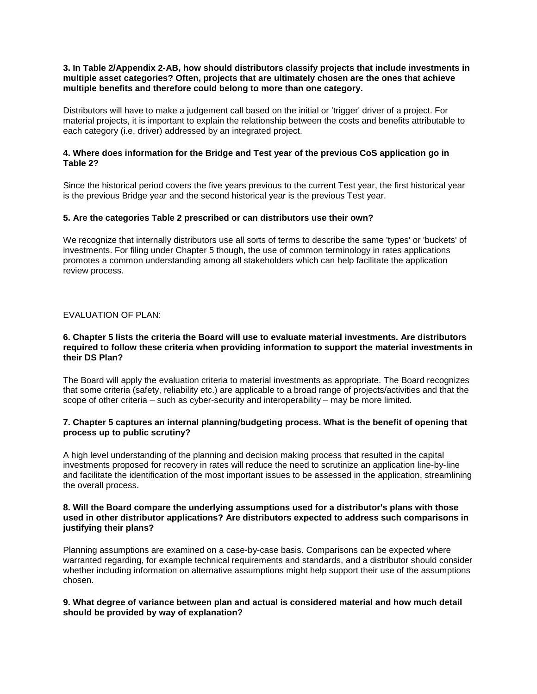#### **3. In Table 2/Appendix 2-AB, how should distributors classify projects that include investments in multiple asset categories? Often, projects that are ultimately chosen are the ones that achieve multiple benefits and therefore could belong to more than one category.**

Distributors will have to make a judgement call based on the initial or 'trigger' driver of a project. For material projects, it is important to explain the relationship between the costs and benefits attributable to each category (i.e. driver) addressed by an integrated project.

#### **4. Where does information for the Bridge and Test year of the previous CoS application go in Table 2?**

Since the historical period covers the five years previous to the current Test year, the first historical year is the previous Bridge year and the second historical year is the previous Test year.

#### **5. Are the categories Table 2 prescribed or can distributors use their own?**

We recognize that internally distributors use all sorts of terms to describe the same 'types' or 'buckets' of investments. For filing under Chapter 5 though, the use of common terminology in rates applications promotes a common understanding among all stakeholders which can help facilitate the application review process.

#### EVALUATION OF PLAN:

#### **6. Chapter 5 lists the criteria the Board will use to evaluate material investments. Are distributors required to follow these criteria when providing information to support the material investments in their DS Plan?**

The Board will apply the evaluation criteria to material investments as appropriate. The Board recognizes that some criteria (safety, reliability etc.) are applicable to a broad range of projects/activities and that the scope of other criteria – such as cyber-security and interoperability – may be more limited.

#### **7. Chapter 5 captures an internal planning/budgeting process. What is the benefit of opening that process up to public scrutiny?**

A high level understanding of the planning and decision making process that resulted in the capital investments proposed for recovery in rates will reduce the need to scrutinize an application line-by-line and facilitate the identification of the most important issues to be assessed in the application, streamlining the overall process.

#### **8. Will the Board compare the underlying assumptions used for a distributor's plans with those used in other distributor applications? Are distributors expected to address such comparisons in justifying their plans?**

Planning assumptions are examined on a case-by-case basis. Comparisons can be expected where warranted regarding, for example technical requirements and standards, and a distributor should consider whether including information on alternative assumptions might help support their use of the assumptions chosen.

#### **9. What degree of variance between plan and actual is considered material and how much detail should be provided by way of explanation?**